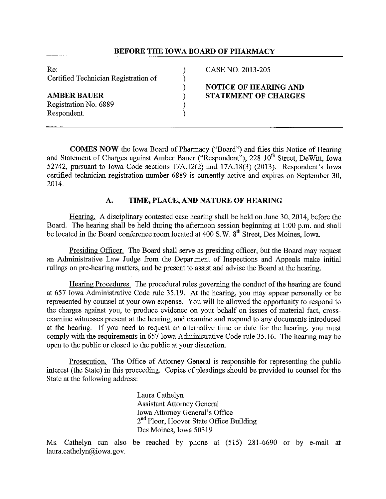## **BEFORE THE IOWA BOARD OF PHARMACY**

Re: (2013-205) CASE NO. 2013-205 Certified Technician Registration of (a)<br>
(b)<br>
AMBER BAUER (b)<br>
Registration No. 6889 (b)

Registration No. 6889 ) Respondent. )

# ) **NOTICE OF HEARING AND AMBER BAUER** ) **STATEMENT OF CHARGES**

**COMES NOW** the Iowa Board of Pharmacy ("Board") and files this Notice of Hearing and Statement of Charges against Amber Bauer ("Respondent"), 228 10<sup>th</sup> Street, DeWitt, Iowa 52742, pursuant to Iowa Code sections 17A.12(2) and 17A.18(3) (2013). Respondent's Iowa certified technician registration number 6889 is currently active and expires on September 30, 2014.

## **A. TIME, PLACE, AND NATURE OF HEARING**

Hearing. A disciplinary contested case hearing shall be held on June 30, 2014, before the Board. The hearing shall be held during the afternoon session beginning at 1 :00 p.m. and shall be located in the Board conference room located at 400 S.W. 8<sup>th</sup> Street, Des Moines, Iowa.

Presiding Officer. The Board shall serve as presiding officer, but the Board may request an Administrative Law Judge from the Department of Inspections and Appeals make initial rulings on pre-hearing matters, and be present to assist and advise the Board at the hearing.

Hearing Procedures. The procedural rules governing the conduct of the hearing are found at 657 Iowa Administrative Code rule 35.19. At the hearing, you may appear personally or be represented by counsel at your own expense. You will be allowed the opportunity to respond to the charges against you, to produce evidence on your behalf on issues of material fact, crossexamine witnesses present at the hearing, and examine and respond to any documents introduced at the hearing. If you need to request an alternative time or date for the hearing, you must comply with the requirements in 657 Iowa Administrative Code rule 35.16. The hearing may be open to the public or closed to the public at your discretion.

Prosecution. The Office of Attorney General is responsible for representing the public interest (the State) in this proceeding. Copies of pleadings should be provided to counsel for the State at the following address:

> Laura Cathelyn Assistant Attorney General Iowa Attorney General's Office 2<sup>nd</sup> Floor, Hoover State Office Building Des Moines, Iowa 50319

Ms. Cathelyn can also be reached by phone at (515) 281-6690 or by e-mail at laura.cathelyn@iowa.gov.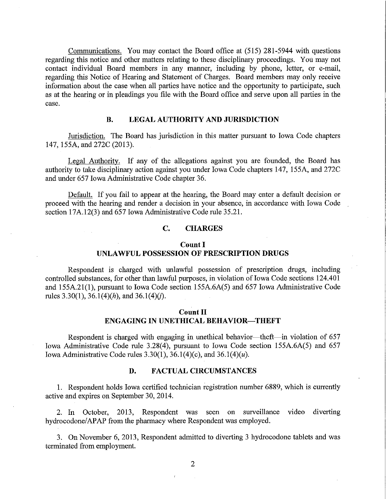Communications. You may contact the Board office at (515) 281-5944 with questions regarding this notice and other matters relating to these disciplinary proceedings. You may not contact individual Board members in any manner, including by phone, letter, or e-mail, regarding this Notice of Hearing and Statement of Charges. Board members may only receive information about the case when all parties have notice and the opportunity to participate, such as at the hearing or in pleadings you file with the Board office and serve upon all parties in the case.

## **B. LEGAL AUTHORITY AND JURISDICTION**

Jurisdiction. The Board has jurisdiction in this matter pursuant to Iowa Code chapters 147, 155A, and 272C (2013).

Legal Authority. If any of the allegations against you are founded, the Board has authority to take disciplinary action against you under Iowa Code chapters 147, 155A, and 272C and under 657 Iowa Administrative Code chapter 36.

Default. If you fail to appear at the hearing, the Board may enter a default decision or proceed with the hearing and render a decision in your absence, in accordance with Iowa Code section 17A.12(3) and 657 Iowa Administrative Code rule 35.21.

## **C. CHARGES**

# **Count I UNLAWFUL POSSESSION OF PRESCRIPTION DRUGS**

Respondent is charged with unlawful possession of prescription drugs, including controlled substances, for other than lawful purposes, in violation of Iowa Code sections 124.401 and 155A.21(1), pursuant to Iowa Code section 155A.6A(5) and 657 Iowa Administrative Code rules 3.30(1), 36.1(4)(h), and 36.1(4)(j).

# **Count II ENGAGING IN UNETHICAL BEHAVIOR-THEFT**

Respondent is charged with engaging in unethical behavior—theft—in violation of 657 Iowa Administrative Code rule 3.28(4), pursuant to Iowa Code section 155A.6A(5) and 657 Iowa Administrative Code rules  $3.30(1)$ ,  $36.1(4)(c)$ , and  $36.1(4)(u)$ .

## **D. FACTUAL CIRCUMSTANCES**

1. Respondent holds Iowa certified technician registration number 6889, which is currently active and expires on September 30, 2014.

2. In October, 2013, Respondent was seen on surveillance video diverting hydrocodone/APAP from the pharmacy where Respondent was employed.

3. On November 6, 2013, Respondent admitted to diverting 3 hydrocodone tablets and was terminated from employment.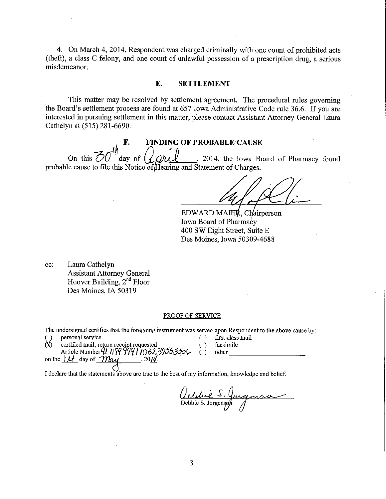4. On March 4, 2014, Respondent was charged criminally with one count of prohibited acts (theft), a class C felony, and one count of unlawful possession of a prescription drng, a serious misdemeanor.

# **E. SETTLEMENT**

This matter may be resolved by settlement agreement. The procedural mies governing the Board's settlement process are found at 657 Iowa Administrative Code rnle 36.6. If you are interested in pursuing settlement in this matter, please contact Assistant Attorney General Laura Cathelyn at (515) 281-6690.

**F.** FINDING OF PROBABLE CAUSE<br>On this  $\overline{50}$ <sup>th</sup> day of  $\overline{QPL}$ , 2014, the Iowa Bo . 2014, the Iowa Board of Pharmacy found probable cause to file this Notice of Hearing and Statement of Charges.

EDWARD MAIER, Chairperson Iowa Board of Pharmacy 400 SW Eight Street, Suite E Des Moines, Iowa 50309-4688

cc: Laura Cathelyn Assistant Attorney General Hoover Building, 2"d Floor Des Moines, IA 50319

### PROOF OF SERVICE

The undersigned certifies that the foregoing instrument was served upon Respondent to the above cause by:

( ) personal service ( ) first class mail ( ) first class mail ( ) first class mail ( ) overtified mail return receipt requested ( ) facsimile  $l$  certified mail, return receipt requested  $\overrightarrow{l}$  facsimile certified mail, return receipt requested<br>Article Number  $\frac{q}{379}$  999 17032 3955,3506 ( ) other \_\_\_\_\_\_\_\_\_\_\_\_\_\_\_\_\_\_\_\_\_\_\_ Article Number *(1919)*<br>on the <u>1A</u> day of *May 2014·* 

I declare that the statements above are true to the best of my information, knowledge and belief.

*(Induce S. Jouques*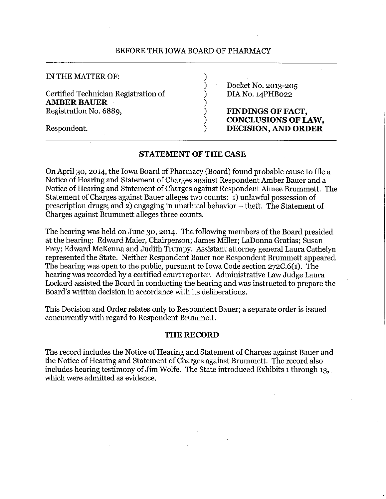# BEFORE THE IOWA BOARD OF PHARMACY

| IN THE MATTER OF:                                          |                                                        |
|------------------------------------------------------------|--------------------------------------------------------|
| Certified Technician Registration of<br><b>AMBER BAUER</b> | Docket No. 2013-205<br>DIA No. 14PHB022                |
| Registration No. 6889,                                     | <b>FINDINGS OF FACT,</b><br><b>CONCLUSIONS OF LAW,</b> |
| Respondent.                                                | DECISION, AND ORDER                                    |

# **STATEMENT OF THE CASE**

On April 30, 2014, the Iowa Board of Pharmacy (Board) found probable cause to file a Notice of Hearing and Statement of Charges against Respondent Amber Bauer and a Notice of Hearing and Statement ofCharges against Respondent Aimee Brummett. The Statement of Charges against Bauer alleges two counts: 1) unlawful possession of prescription drugs; and 2) engaging in unethical behavior - theft. The Statement of Charges against Brummett alleges three counts.

The hearing was held on June 30, 2014. The following members of the Board presided at the hearing: Edward Maier, Chairperson; James Miller; LaDonna Gratias; Susan Frey; Edward McKenna and Judith Trumpy. Assistant attorney general Laura Cathelyn represented the State. Neither Respondent Bauer nor Respondent Brummett appeared. The hearing was open to the public, pursuant to Iowa Code section 272C.6(1). The hearing was recorded by a certified court reporter. Administrative Law Judge Laura Lockard assisted the Board in conducting the hearing and was instructed to prepare the Board's written decision in accordance with its deliberations.

This Decision and Order relates only to Respondent Bauer; a separate order is issued concurrently with regard to Respondent Brummett.

# **THE RECORD**

The record includes the Notice of Hearing and Statement of Charges against Bauer and the Notice of Hearing and Statement of Charges against Brummett. The record also includes hearing testimony of Jim Wolfe. The State introduced Exhibits 1 through 13, which were admitted as evidence.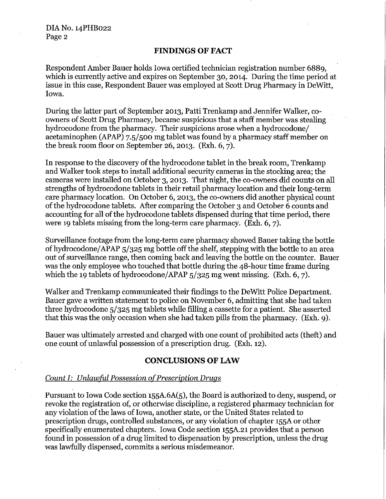## **FINDINGS OF FACT**

Respondent Amber Bauer holds Iowa certified technician registration number 6889, which is currently active and expires on September 30, 2014. During the time period at issue in this case, Respondent Bauer was employed at Scott Drug Pharmacy in DeWitt, Iowa.

During the latter part of September 2013, Patti Trenkamp and Jennifer Walker, coowners of Scott Drug Pharmacy, became suspicious that a staff member was stealing hydrocodone from the pharmacy. Their suspicions arose when a hydrocodone/ acetaminophen (APAP) 7.5/ 500 mg tablet was found by a pharmacy staff member on the break room floor on September 26, 2013. (Exh. 6, 7).

In response to the discovery of the hydrocodone tablet in the break room, Trenkamp and Walker took steps to install additional security cameras in the stocking area; the cameras were installed on October 3, 2013. That night, the co-owners did counts on all strengths of hydrocodone tablets in their retail pharmacy location and their long-term care pharmacy location. On October 6, 2013, the co-owners did another physical count ofthe hydrocodone tablets. After comparing the October 3 and October 6 counts and accounting for all of the hydrocodone tablets dispensed during that time period, there were 19 tablets missing from the long-term care pharmacy. (Exh. 6, 7).

Surveillance footage from the long-term care pharmacy showed Bauer taking the bottle of hydrocodone/ APAP 5/325 mg bottle off the shelf, stepping with the bottle to an area out of surveillance range, then coming back and leaving the bottle on the counter. Bauer was the only employee who touched that bottle during the 48-hour time frame during which the 19 tablets of hydrocodone/APAP  $5/325$  mg went missing. (Exh. 6, 7).

Walker and Trenkamp communicated their findings to the DeWitt Police Department. Bauer gave a written statement to police on November 6, admitting that she had taken three hydrocodone 5/325 mg tablets while filling a cassette for a patient. She asserted that this was the only occasion when she had taken pills from the pharmacy. (Exh. 9).

Bauer was ultimately arrested and charged with one count of prohibited acts (theft) and one count of unlawful possession of a prescription drug. (Exh. 12).

# **CONCLUSIONS OF LAW**

## *Count I: Unlawful Possession of Prescription Drugs*

Pursuant to Iowa Code section 155A.6A(5), the Board is authorized to deny, suspend, or revoke the registration of, or otherwise discipline, a registered pharmacy technician for any violation of the laws of Iowa, another state, or the United States related to prescription drugs, controlled substances, or any violation of chapter 155A or other specifically enumerated chapters. Iowa Code section 155A.21 provides that a person found in possession of a drug limited to dispensation by prescription, unless the drug was lawfully dispensed, commits a serious misdemeanor.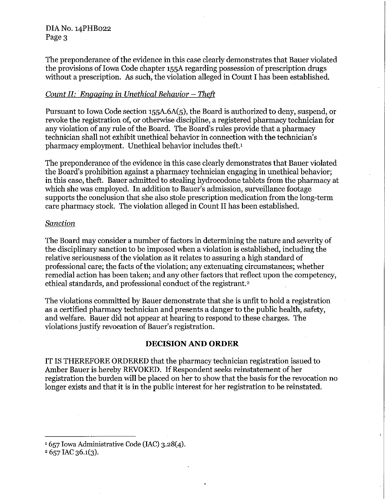DIA No. 14PHB022 Page 3

The preponderance of the evidence in this case clearly demonstrates that Bauer violated the provisions of Iowa Code chapter 155A regarding possession of prescription drugs without a prescription. As such, the violation alleged in Count I has been established.

# *Count II: Engaging in Unethical Behavior – Theft*

Pursuant to Iowa Code section 155A.6A(5), the Board is authorized to deny, suspend, or revoke the registration of, or otherwise discipline, a registered pharmacy technician for any violation of any rule of the Board. The Board's rules provide that a pharmacy technician shall not exhibit unethical behavior in connection with the technician's pharmacy employment. Unethical behavior includes theft. <sup>1</sup>

The preponderance of the evidence in this case clearly demonstrates that Bauer violated the Board's prohibition against a pharmacy technician engaging in unethical behavior; in this case, theft. Bauer admitted to stealing hydrocodone tablets from the pharmacy at which she was employed. In addition to Bauer's admission, surveillance footage supports the conclusion that she also stole prescription medication from the long-term care pharmacy stock. The violation alleged in Count II has been established.

# *Sanction*

The Board may consider a number of factors in determining the nature and severity of the disciplinary sanction to be imposed when a violation is established, including the relative seriousness of the violation as it relates to assuring a high standard of professional care; the facts of the violation; any extenuating circumstances; whether remedial action has been taken; and any other factors that reflect upon the competency, ethical standards, and professional conduct of the registrant.<sup>2</sup>

The violations committed by Bauer demonstrate that she is unfit to hold a registration as a certified pharmacy technician and presents a danger to the public health, safety, and welfare. Bauer did not appear at hearing to respond to these charges. The violations justify revocation of Bauer's registration.

# **DECISION AND ORDER**

IT IS THEREFORE ORDERED that the pharmacy technician registration issued to Amber Bauer is hereby REVOKED. If Respondent seeks reinstatement of her registration the burden will be placed on her to show that the basis for the revocation no longer exists and that it is in the public interest for her registration to be reinstated.

<sup>1</sup> 657 Iowa Administrative Code (IAC) 3.28(4).<br><sup>2</sup> 657 IAC 36.1(3).